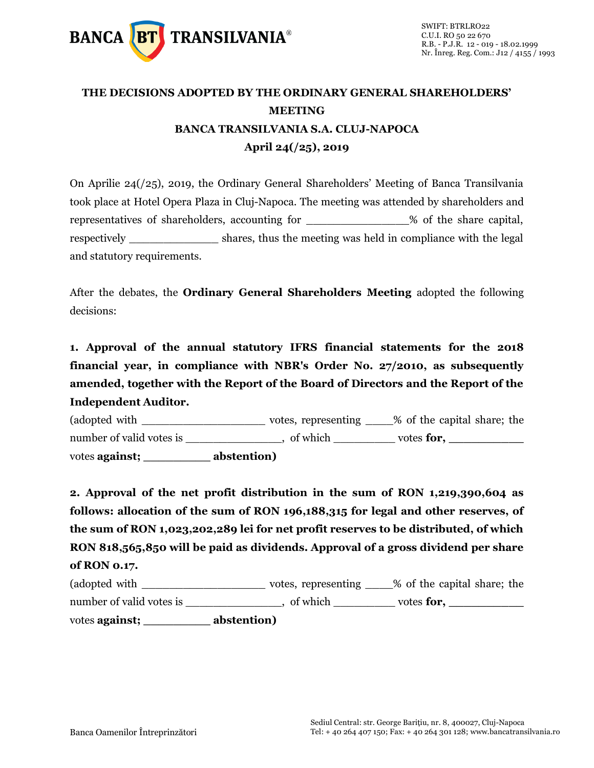

## **THE DECISIONS ADOPTED BY THE ORDINARY GENERAL SHAREHOLDERS' MEETING BANCA TRANSILVANIA S.A. CLUJ-NAPOCA April 24(/25), 2019**

On Aprilie 24(/25), 2019, the Ordinary General Shareholders' Meeting of Banca Transilvania took place at Hotel Opera Plaza in Cluj-Napoca. The meeting was attended by shareholders and representatives of shareholders, accounting for \_\_\_\_\_\_\_\_\_\_\_\_\_\_\_% of the share capital, respectively \_\_\_\_\_\_\_\_\_\_\_\_\_\_\_\_ shares, thus the meeting was held in compliance with the legal and statutory requirements.

After the debates, the **Ordinary General Shareholders Meeting** adopted the following decisions:

**1. Approval of the annual statutory IFRS financial statements for the 2018 financial year, in compliance with NBR's Order No. 27/2010, as subsequently amended, together with the Report of the Board of Directors and the Report of the Independent Auditor.**

(adopted with \_\_\_\_\_\_\_\_\_\_\_\_\_\_\_\_\_\_ votes, representing \_\_\_\_% of the capital share; the number of valid votes is \_\_\_\_\_\_\_\_\_\_\_\_, of which \_\_\_\_\_\_\_\_ votes **for**, \_\_\_\_\_\_\_\_\_\_\_ votes **against; \_\_\_\_\_\_\_\_\_ abstention)**

**2. Approval of the net profit distribution in the sum of RON 1,219,390,604 as follows: allocation of the sum of RON 196,188,315 for legal and other reserves, of the sum of RON 1,023,202,289 lei for net profit reserves to be distributed, of which RON 818,565,850 will be paid as dividends. Approval of a gross dividend per share of RON 0.17.**

| (adopted with            | votes, representing | % of the capital share; the |
|--------------------------|---------------------|-----------------------------|
| number of valid votes is | of which            | votes for,                  |
| votes <b>against</b> ;   | abstention)         |                             |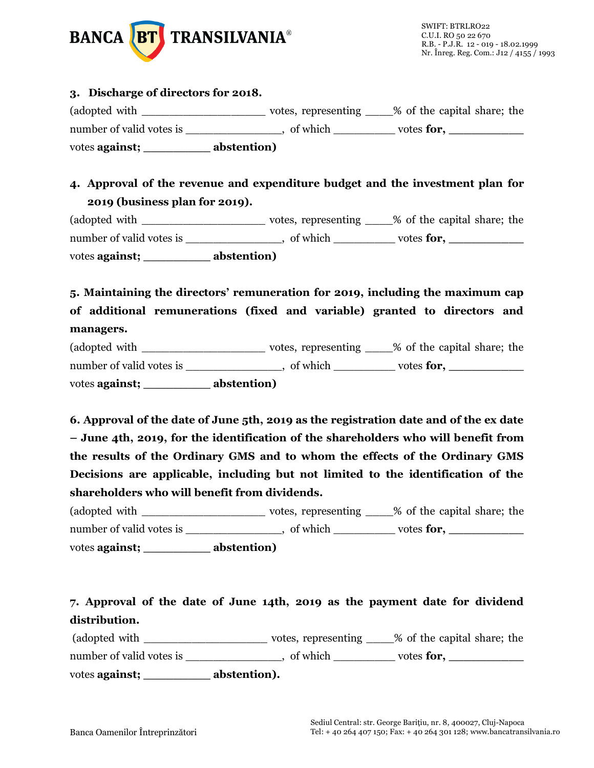

#### **3. Discharge of directors for 2018.**

(adopted with votes, representing  $\%$  of the capital share; the number of valid votes is \_\_\_\_\_\_\_\_\_\_\_\_\_\_, of which \_\_\_\_\_\_\_\_\_ votes **for, \_\_\_\_\_\_\_\_\_\_**  votes **against; \_\_\_\_\_\_\_\_\_ abstention)**

#### **4. Approval of the revenue and expenditure budget and the investment plan for 2019 (business plan for 2019).**

(adopted with \_\_\_\_\_\_\_\_\_\_\_\_\_\_\_\_\_\_ votes, representing \_\_\_\_% of the capital share; the number of valid votes is \_\_\_\_\_\_\_\_\_\_\_\_\_, of which \_\_\_\_\_\_\_\_\_ votes **for**, \_\_\_\_\_\_\_\_\_\_ votes **against; \_\_\_\_\_\_\_\_\_ abstention)**

### **5. Maintaining the directors' remuneration for 2019, including the maximum cap of additional remunerations (fixed and variable) granted to directors and managers.**

| number of valid votes is | of which    | votes for, |
|--------------------------|-------------|------------|
| votes against;           | abstention) |            |

**6. Approval of the date of June 5th, 2019 as the registration date and of the ex date – June 4th, 2019, for the identification of the shareholders who will benefit from the results of the Ordinary GMS and to whom the effects of the Ordinary GMS Decisions are applicable, including but not limited to the identification of the shareholders who will benefit from dividends.**

| (adopted with            | votes, representing | % of the capital share; the |
|--------------------------|---------------------|-----------------------------|
| number of valid votes is | of which            | votes for,                  |
| votes <b>against;</b>    | abstention)         |                             |

# **7. Approval of the date of June 14th, 2019 as the payment date for dividend distribution.**

(adopted with \_\_\_\_\_\_\_\_\_\_\_\_\_\_\_\_\_\_ votes, representing \_\_\_\_% of the capital share; the number of valid votes is \_\_\_\_\_\_\_\_\_\_, of which \_\_\_\_\_\_\_\_ votes **for**,

votes **against; \_\_\_\_\_\_\_\_\_ abstention).**